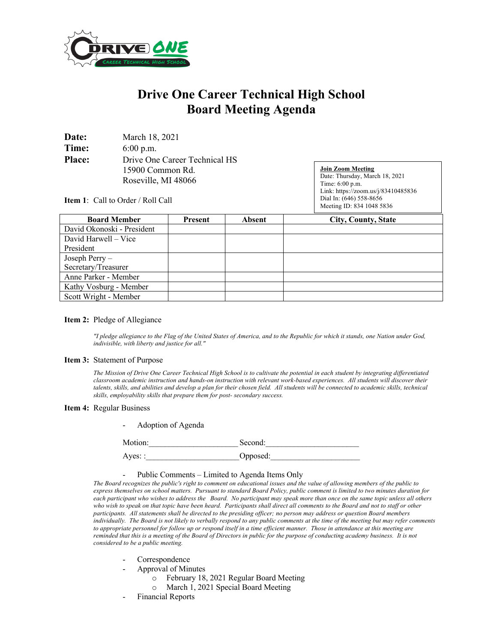

# **Drive One Career Technical High School Board Meeting Agenda**

| Date:         | March 18, 2021                |
|---------------|-------------------------------|
| Time:         | $6:00$ p.m.                   |
| <b>Place:</b> | Drive One Career Technical HS |
|               | 15900 Common Rd.              |
|               | Roseville, MI 48066           |

**Join Zoom Meeting** Date: Thursday, March 18, 2021 Time: 6:00 p.m. Link: https://zoom.us/j/83410485836 Dial In: (646) 558-8656 Meeting ID: 834 1048 5836

**Item 1**: Call to Order / Roll Call

| <b>Board Member</b>        | Present | <b>Absent</b> | <b>City, County, State</b> |
|----------------------------|---------|---------------|----------------------------|
| David Okonoski - President |         |               |                            |
| David Harwell – Vice       |         |               |                            |
| President                  |         |               |                            |
| Joseph Perry-              |         |               |                            |
| Secretary/Treasurer        |         |               |                            |
| Anne Parker - Member       |         |               |                            |
| Kathy Vosburg - Member     |         |               |                            |
| Scott Wright - Member      |         |               |                            |

### **Item 2:** Pledge of Allegiance

*"I pledge allegiance to the Flag of the United States of America, and to the Republic for which it stands, one Nation under God, indivisible, with liberty and justice for all."* 

#### **Item 3:** Statement of Purpose

*The Mission of Drive One Career Technical High School is to cultivate the potential in each student by integrating differentiated classroom academic instruction and hands-on instruction with relevant work-based experiences. All students will discover their talents, skills, and abilities and develop a plan for their chosen field. All students will be connected to academic skills, technical skills, employability skills that prepare them for post- secondary success.*

#### **Item 4:** Regular Business

|  | Adoption of Agenda |  |
|--|--------------------|--|
|--|--------------------|--|

Motion: Second:

Ayes: : 0pposed:

#### - Public Comments – Limited to Agenda Items Only

*The Board recognizes the public's right to comment on educational issues and the value of allowing members of the public to express themselves on school matters. Pursuant to standard Board Policy, public comment is limited to two minutes duration for each participant who wishes to address the Board. No participant may speak more than once on the same topic unless all others who wish to speak on that topic have been heard. Participants shall direct all comments to the Board and not to staff or other participants. All statements shall be directed to the presiding officer; no person may address or question Board members individually. The Board is not likely to verbally respond to any public comments at the time of the meeting but may refer comments to appropriate personnel for follow up or respond itself in a time efficient manner. Those in attendance at this meeting are reminded that this is a meeting of the Board of Directors in public for the purpose of conducting academy business. It is not considered to be a public meeting.*

- Correspondence
- Approval of Minutes
	- o February 18, 2021 Regular Board Meeting
	- o March 1, 2021 Special Board Meeting
- Financial Reports